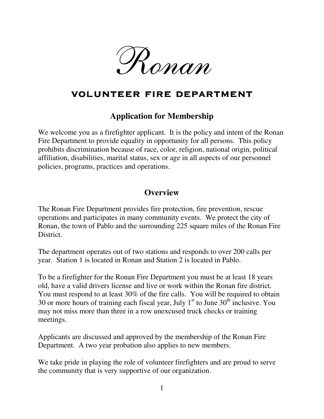

# volunteer fire department volunteer

## **Application for Membership**

We welcome you as a firefighter applicant. It is the policy and intent of the Ronan Fire Department to provide equality in opportunity for all persons. This policy prohibits discrimination because of race, color, religion, national origin, political affiliation, disabilities, marital status, sex or age in all aspects of our personnel policies, programs, practices and operations.

# **Overview**

The Ronan Fire Department provides fire protection, fire prevention, rescue operations and participates in many community events. We protect the city of Ronan, the town of Pablo and the surrounding 225 square miles of the Ronan Fire District.

The department operates out of two stations and responds to over 200 calls per year. Station 1 is located in Ronan and Station 2 is located in Pablo.

To be a firefighter for the Ronan Fire Department you must be at least 18 years old, have a valid drivers license and live or work within the Ronan fire district. You must respond to at least 30% of the fire calls. You will be required to obtain 30 or more hours of training each fiscal year, July  $1<sup>st</sup>$  to June  $30<sup>th</sup>$  inclusive. You may not miss more than three in a row unexcused truck checks or training meetings.

Applicants are discussed and approved by the membership of the Ronan Fire Department. A two year probation also applies to new members.

We take pride in playing the role of volunteer firefighters and are proud to serve the community that is very supportive of our organization.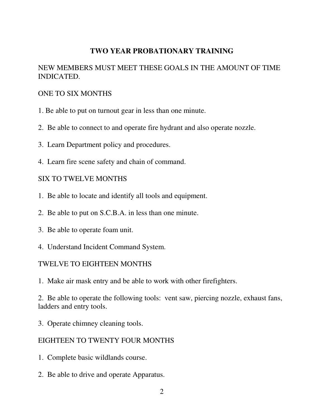### **TWO YEAR PROBATIONARY TRAINING**

## NEW MEMBERS MUST MEET THESE GOALS IN THE AMOUNT OF TIME INDICATED.

#### ONE TO SIX MONTHS

- 1. Be able to put on turnout gear in less than one minute.
- 2. Be able to connect to and operate fire hydrant and also operate nozzle.
- 3. Learn Department policy and procedures.
- 4. Learn fire scene safety and chain of command.

#### SIX TO TWELVE MONTHS

- 1. Be able to locate and identify all tools and equipment.
- 2. Be able to put on S.C.B.A. in less than one minute.
- 3. Be able to operate foam unit.
- 4. Understand Incident Command System.

#### TWELVE TO EIGHTEEN MONTHS

1. Make air mask entry and be able to work with other firefighters.

2. Be able to operate the following tools: vent saw, piercing nozzle, exhaust fans, ladders and entry tools.

3. Operate chimney cleaning tools.

#### EIGHTEEN TO TWENTY FOUR MONTHS

- 1. Complete basic wildlands course.
- 2. Be able to drive and operate Apparatus.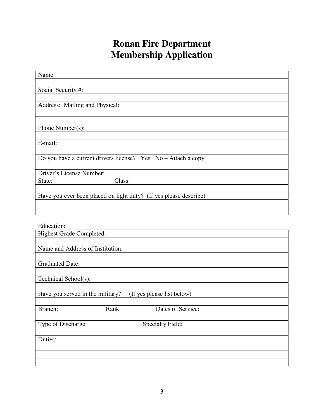# **Ronan Fire Department Membership Application**

| Name:                                                             |
|-------------------------------------------------------------------|
|                                                                   |
| Social Security #:                                                |
|                                                                   |
|                                                                   |
| Address: Mailing and Physical:                                    |
|                                                                   |
|                                                                   |
| Phone Number(s):                                                  |
|                                                                   |
| E-mail:                                                           |
|                                                                   |
| Do you have a current drivers license? Yes No - Attach a copy     |
|                                                                   |
| Driver's License Number:                                          |
| Class:<br>State:                                                  |
|                                                                   |
| Have you ever been placed on light duty? (If yes please describe) |
|                                                                   |
|                                                                   |
|                                                                   |

| Education:                       |                            |
|----------------------------------|----------------------------|
| <b>Highest Grade Completed:</b>  |                            |
|                                  |                            |
| Name and Address of Institution: |                            |
|                                  |                            |
| <b>Graduated Date:</b>           |                            |
|                                  |                            |
| Technical School(s):             |                            |
|                                  |                            |
| Have you served in the military? | (If yes please list below) |
|                                  |                            |
| Branch:<br>Rank:                 | Dates of Service:          |
|                                  |                            |
| Type of Discharge:               | <b>Specialty Field:</b>    |
|                                  |                            |
| Duties:                          |                            |
|                                  |                            |
|                                  |                            |
|                                  |                            |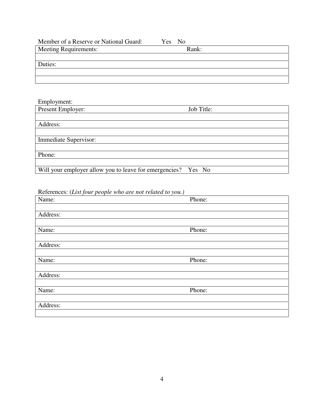| Yes No | Member of a Reserve or National Guard: |
|--------|----------------------------------------|
| Rank:  | Meeting Requirements:                  |
|        |                                        |
|        | Duties:                                |
|        |                                        |
|        |                                        |
|        |                                        |

| Employment:                                                   |            |
|---------------------------------------------------------------|------------|
| Present Employer:                                             | Job Title: |
|                                                               |            |
| Address:                                                      |            |
|                                                               |            |
| Immediate Supervisor:                                         |            |
|                                                               |            |
| Phone:                                                        |            |
|                                                               |            |
| Will your employer allow you to leave for emergencies? Yes No |            |

References: (*List four people who are not related to you.)* 

| Name:    | Phone: |  |
|----------|--------|--|
|          |        |  |
| Address: |        |  |
|          |        |  |
| Name:    | Phone: |  |
|          |        |  |
| Address: |        |  |
|          |        |  |
| Name:    | Phone: |  |
|          |        |  |
| Address: |        |  |
|          |        |  |
| Name:    | Phone: |  |
|          |        |  |
| Address: |        |  |
|          |        |  |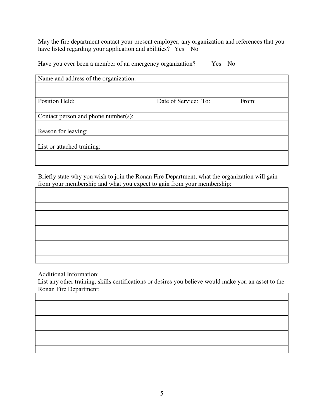May the fire department contact your present employer, any organization and references that you have listed regarding your application and abilities? Yes No

Have you ever been a member of an emergency organization? Yes No

| Name and address of the organization: |                      |       |
|---------------------------------------|----------------------|-------|
|                                       |                      |       |
|                                       |                      |       |
| Position Held:                        | Date of Service: To: | From: |
|                                       |                      |       |
| Contact person and phone number(s):   |                      |       |
|                                       |                      |       |
| Reason for leaving:                   |                      |       |
|                                       |                      |       |
| List or attached training:            |                      |       |
|                                       |                      |       |
|                                       |                      |       |

Briefly state why you wish to join the Ronan Fire Department, what the organization will gain from your membership and what you expect to gain from your membership:

Additional Information:

List any other training, skills certifications or desires you believe would make you an asset to the Ronan Fire Department: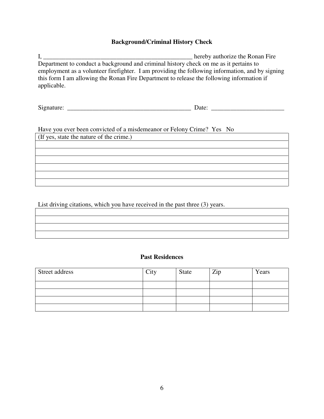#### **Background/Criminal History Check**

I, \_\_\_\_\_\_\_\_\_\_\_\_\_\_\_\_\_\_\_\_\_\_\_\_\_\_\_\_\_\_\_\_\_\_\_\_\_\_\_\_\_\_\_\_\_\_\_ hereby authorize the Ronan Fire Department to conduct a background and criminal history check on me as it pertains to employment as a volunteer firefighter. I am providing the following information, and by signing this form I am allowing the Ronan Fire Department to release the following information if applicable.

Signature:  $\frac{1}{\sqrt{2}}$  Date:  $\frac{1}{\sqrt{2}}$  Date:  $\frac{1}{\sqrt{2}}$  Date:  $\frac{1}{\sqrt{2}}$  Date:  $\frac{1}{\sqrt{2}}$  Date:  $\frac{1}{\sqrt{2}}$ 

Have you ever been convicted of a misdemeanor or Felony Crime? Yes No

(If yes, state the nature of the crime.)

List driving citations, which you have received in the past three (3) years.

#### **Past Residences**

| Street address | City | State | Zip | Years |
|----------------|------|-------|-----|-------|
|                |      |       |     |       |
|                |      |       |     |       |
|                |      |       |     |       |
|                |      |       |     |       |